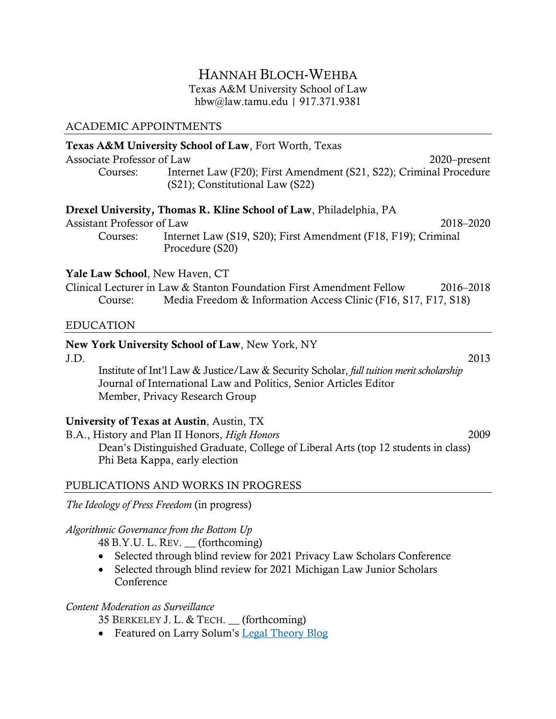# HANNAH BLOCH-WEHBA Texas A&M University School of Law hbw@law.tamu.edu | 917.371.9381

### ACADEMIC APPOINTMENTS

### Texas A&M University School of Law, Fort Worth, Texas

Associate Professor of Law 2020–present Courses: Internet Law (F20); First Amendment (S21, S22); Criminal Procedure (S21); Constitutional Law (S22)

### Drexel University, Thomas R. Kline School of Law, Philadelphia, PA

Assistant Professor of Law 2018–2020

Courses: Internet Law (S19, S20); First Amendment (F18, F19); Criminal Procedure (S20)

### Yale Law School, New Haven, CT

|         | Clinical Lecturer in Law & Stanton Foundation First Amendment Fellow | 2016-2018 |
|---------|----------------------------------------------------------------------|-----------|
| Course: | Media Freedom & Information Access Clinic (F16, S17, F17, S18)       |           |

### EDUCATION

## New York University School of Law, New York, NY

J.D. 2013 Institute of Int'l Law & Justice/Law & Security Scholar, *full tuition merit scholarship* Journal of International Law and Politics, Senior Articles Editor Member, Privacy Research Group

## University of Texas at Austin, Austin, TX

B.A., History and Plan II Honors, *High Honors* 2009 Dean's Distinguished Graduate, College of Liberal Arts (top 12 students in class) Phi Beta Kappa, early election

## PUBLICATIONS AND WORKS IN PROGRESS

*The Ideology of Press Freedom* (in progress)

## *Algorithmic Governance from the Bottom Up*

48 B.Y.U. L. REV. \_\_ (forthcoming)

- Selected through blind review for 2021 Privacy Law Scholars Conference
- Selected through blind review for 2021 Michigan Law Junior Scholars Conference

#### *Content Moderation as Surveillance*

35 BERKELEY J. L. & TECH. \_\_ (forthcoming)

• Featured on Larry Solum's Legal Theory Blog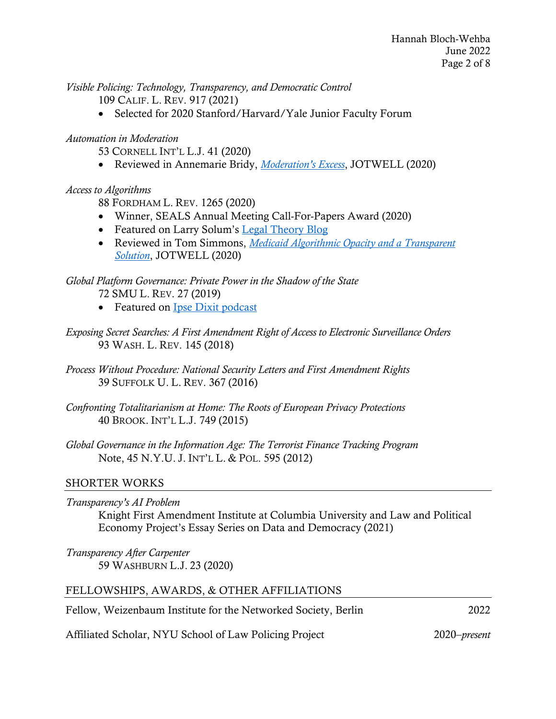*Visible Policing: Technology, Transparency, and Democratic Control*

109 CALIF. L. REV. 917 (2021)

• Selected for 2020 Stanford/Harvard/Yale Junior Faculty Forum

## *Automation in Moderation*

53 CORNELL INT'L L.J. 41 (2020)

• Reviewed in Annemarie Bridy, *Moderation's Excess*, JOTWELL (2020)

## *Access to Algorithms*

88 FORDHAM L. REV. 1265 (2020)

- Winner, SEALS Annual Meeting Call-For-Papers Award (2020)
- Featured on Larry Solum's Legal Theory Blog
- Reviewed in Tom Simmons, *Medicaid Algorithmic Opacity and a Transparent Solution*, JOTWELL (2020)

## *Global Platform Governance: Private Power in the Shadow of the State* 72 SMU L. REV. 27 (2019)

- Featured on Ipse Dixit podcast
- *Exposing Secret Searches: A First Amendment Right of Access to Electronic Surveillance Orders* 93 WASH. L. REV. 145 (2018)
- *Process Without Procedure: National Security Letters and First Amendment Rights* 39 SUFFOLK U. L. REV. 367 (2016)
- *Confronting Totalitarianism at Home: The Roots of European Privacy Protections* 40 BROOK. INT'L L.J. 749 (2015)
- *Global Governance in the Information Age: The Terrorist Finance Tracking Program* Note, 45 N.Y.U. J. INT'L L. & POL. 595 (2012)

## SHORTER WORKS

| Transparency's AI Problem<br>Knight First Amendment Institute at Columbia University and Law and Political<br>Economy Project's Essay Series on Data and Democracy (2021) |     |
|---------------------------------------------------------------------------------------------------------------------------------------------------------------------------|-----|
| Transparency After Carpenter<br>59 WASHBURN L.J. 23 (2020)                                                                                                                |     |
| FELLOWSHIPS, AWARDS, & OTHER AFFILIATIONS                                                                                                                                 |     |
| Fellow, Weizenbaum Institute for the Networked Society, Berlin                                                                                                            | າາາ |

Affiliated Scholar, NYU School of Law Policing Project 2020–*present*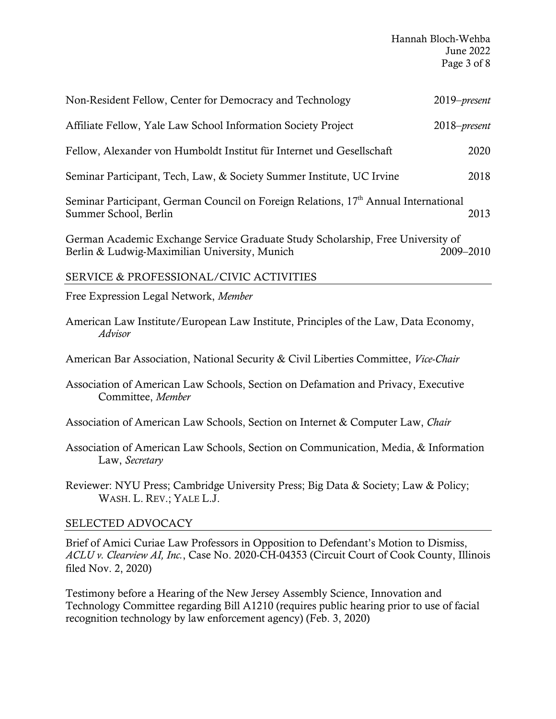| Non-Resident Fellow, Center for Democracy and Technology                                                                         | $2019$ -present |  |  |
|----------------------------------------------------------------------------------------------------------------------------------|-----------------|--|--|
| Affiliate Fellow, Yale Law School Information Society Project                                                                    | 2018–present    |  |  |
| Fellow, Alexander von Humboldt Institut für Internet und Gesellschaft                                                            | 2020            |  |  |
| Seminar Participant, Tech, Law, & Society Summer Institute, UC Irvine                                                            | 2018            |  |  |
| Seminar Participant, German Council on Foreign Relations, 17 <sup>th</sup> Annual International<br>2013<br>Summer School, Berlin |                 |  |  |
| German Academic Exchange Service Graduate Study Scholarship, Free University of<br>Berlin & Ludwig-Maximilian University, Munich | 2009–2010       |  |  |
| SERVICE & PROFESSIONAL/CIVIC ACTIVITIES                                                                                          |                 |  |  |
| Free Expression Legal Network, Member                                                                                            |                 |  |  |
| American Law Institute/European Law Institute, Principles of the Law, Data Economy,<br>Advisor                                   |                 |  |  |
| American Bar Association, National Security & Civil Liberties Committee, Vice-Chair                                              |                 |  |  |
| Association of American Law Schools, Section on Defamation and Privacy, Executive<br>Committee, Member                           |                 |  |  |

Association of American Law Schools, Section on Internet & Computer Law, *Chair*

- Association of American Law Schools, Section on Communication, Media, & Information Law, *Secretary*
- Reviewer: NYU Press; Cambridge University Press; Big Data & Society; Law & Policy; WASH. L. REV.; YALE L.J.

# SELECTED ADVOCACY

Brief of Amici Curiae Law Professors in Opposition to Defendant's Motion to Dismiss, *ACLU v. Clearview AI, Inc.*, Case No. 2020-CH-04353 (Circuit Court of Cook County, Illinois filed Nov. 2, 2020)

Testimony before a Hearing of the New Jersey Assembly Science, Innovation and Technology Committee regarding Bill A1210 (requires public hearing prior to use of facial recognition technology by law enforcement agency) (Feb. 3, 2020)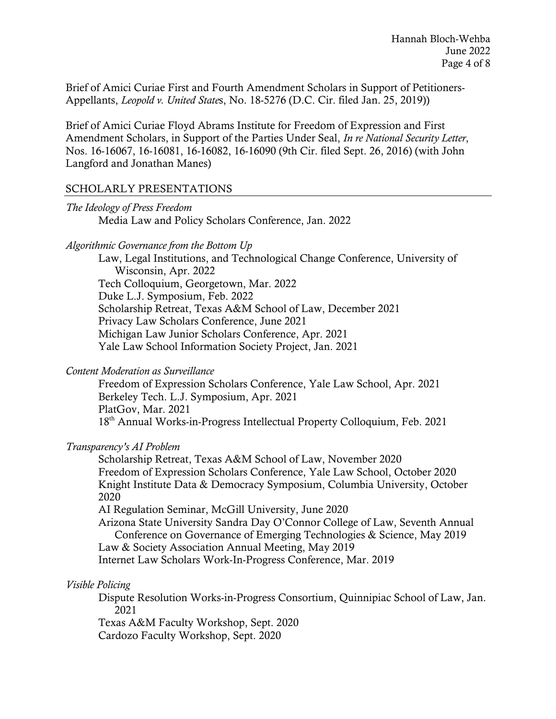Brief of Amici Curiae First and Fourth Amendment Scholars in Support of Petitioners-Appellants, *Leopold v. United State*s, No. 18-5276 (D.C. Cir. filed Jan. 25, 2019))

Brief of Amici Curiae Floyd Abrams Institute for Freedom of Expression and First Amendment Scholars, in Support of the Parties Under Seal, *In re National Security Letter*, Nos. 16-16067, 16-16081, 16-16082, 16-16090 (9th Cir. filed Sept. 26, 2016) (with John Langford and Jonathan Manes)

## SCHOLARLY PRESENTATIONS

| The Ideology of Press Freedom                       |  |
|-----------------------------------------------------|--|
| Media Law and Policy Scholars Conference, Jan. 2022 |  |

#### *Algorithmic Governance from the Bottom Up*

Law, Legal Institutions, and Technological Change Conference, University of Wisconsin, Apr. 2022 Tech Colloquium, Georgetown, Mar. 2022 Duke L.J. Symposium, Feb. 2022 Scholarship Retreat, Texas A&M School of Law, December 2021 Privacy Law Scholars Conference, June 2021 Michigan Law Junior Scholars Conference, Apr. 2021 Yale Law School Information Society Project, Jan. 2021

#### *Content Moderation as Surveillance*

Freedom of Expression Scholars Conference, Yale Law School, Apr. 2021 Berkeley Tech. L.J. Symposium, Apr. 2021 PlatGov, Mar. 2021 18th Annual Works-in-Progress Intellectual Property Colloquium, Feb. 2021

## *Transparency's AI Problem*

Scholarship Retreat, Texas A&M School of Law, November 2020 Freedom of Expression Scholars Conference, Yale Law School, October 2020 Knight Institute Data & Democracy Symposium, Columbia University, October 2020

AI Regulation Seminar, McGill University, June 2020

Arizona State University Sandra Day O'Connor College of Law, Seventh Annual Conference on Governance of Emerging Technologies & Science, May 2019 Law & Society Association Annual Meeting, May 2019

Internet Law Scholars Work-In-Progress Conference, Mar. 2019

## *Visible Policing*

Dispute Resolution Works-in-Progress Consortium, Quinnipiac School of Law, Jan. 2021

Texas A&M Faculty Workshop, Sept. 2020 Cardozo Faculty Workshop, Sept. 2020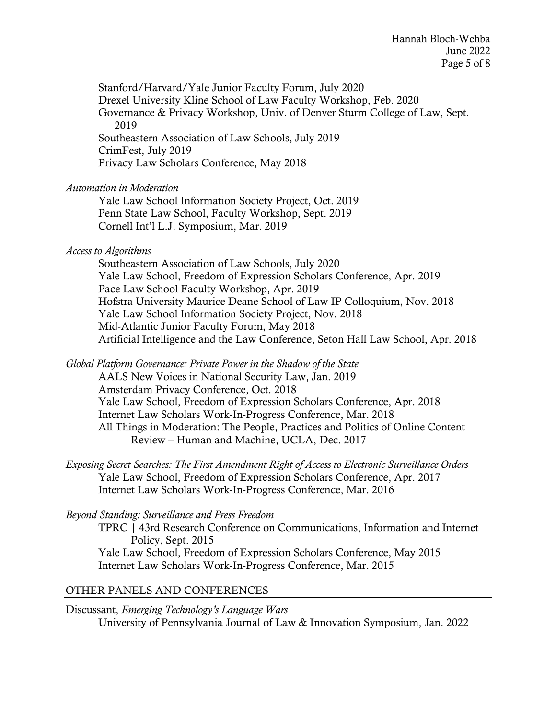Stanford/Harvard/Yale Junior Faculty Forum, July 2020 Drexel University Kline School of Law Faculty Workshop, Feb. 2020 Governance & Privacy Workshop, Univ. of Denver Sturm College of Law, Sept. 2019 Southeastern Association of Law Schools, July 2019 CrimFest, July 2019 Privacy Law Scholars Conference, May 2018

## *Automation in Moderation*

Yale Law School Information Society Project, Oct. 2019 Penn State Law School, Faculty Workshop, Sept. 2019 Cornell Int'l L.J. Symposium, Mar. 2019

*Access to Algorithms*

Southeastern Association of Law Schools, July 2020 Yale Law School, Freedom of Expression Scholars Conference, Apr. 2019 Pace Law School Faculty Workshop, Apr. 2019 Hofstra University Maurice Deane School of Law IP Colloquium, Nov. 2018 Yale Law School Information Society Project, Nov. 2018 Mid-Atlantic Junior Faculty Forum, May 2018 Artificial Intelligence and the Law Conference, Seton Hall Law School, Apr. 2018

*Global Platform Governance: Private Power in the Shadow of the State* 

AALS New Voices in National Security Law, Jan. 2019 Amsterdam Privacy Conference, Oct. 2018 Yale Law School, Freedom of Expression Scholars Conference, Apr. 2018 Internet Law Scholars Work-In-Progress Conference, Mar. 2018 All Things in Moderation: The People, Practices and Politics of Online Content Review – Human and Machine, UCLA, Dec. 2017

*Exposing Secret Searches: The First Amendment Right of Access to Electronic Surveillance Orders* Yale Law School, Freedom of Expression Scholars Conference, Apr. 2017 Internet Law Scholars Work-In-Progress Conference, Mar. 2016

## *Beyond Standing: Surveillance and Press Freedom*

TPRC | 43rd Research Conference on Communications, Information and Internet Policy, Sept. 2015 Yale Law School, Freedom of Expression Scholars Conference, May 2015 Internet Law Scholars Work-In-Progress Conference, Mar. 2015

## OTHER PANELS AND CONFERENCES

Discussant, *Emerging Technology's Language Wars* University of Pennsylvania Journal of Law & Innovation Symposium, Jan. 2022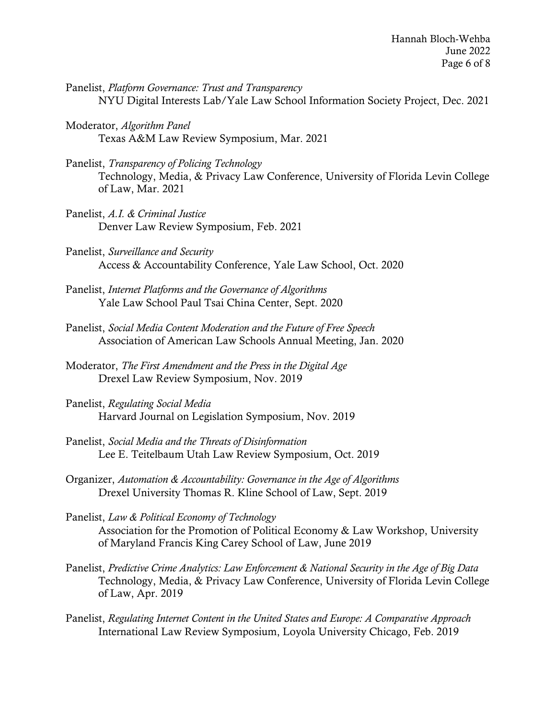- Panelist, *Platform Governance: Trust and Transparency* NYU Digital Interests Lab/Yale Law School Information Society Project, Dec. 2021
- Moderator, *Algorithm Panel* Texas A&M Law Review Symposium, Mar. 2021
- Panelist, *Transparency of Policing Technology* Technology, Media, & Privacy Law Conference, University of Florida Levin College of Law, Mar. 2021
- Panelist, *A.I. & Criminal Justice* Denver Law Review Symposium, Feb. 2021
- Panelist, *Surveillance and Security* Access & Accountability Conference, Yale Law School, Oct. 2020
- Panelist, *Internet Platforms and the Governance of Algorithms* Yale Law School Paul Tsai China Center, Sept. 2020
- Panelist, *Social Media Content Moderation and the Future of Free Speech* Association of American Law Schools Annual Meeting, Jan. 2020
- Moderator, *The First Amendment and the Press in the Digital Age* Drexel Law Review Symposium, Nov. 2019
- Panelist, *Regulating Social Media* Harvard Journal on Legislation Symposium, Nov. 2019
- Panelist, *Social Media and the Threats of Disinformation* Lee E. Teitelbaum Utah Law Review Symposium, Oct. 2019
- Organizer, *Automation & Accountability: Governance in the Age of Algorithms* Drexel University Thomas R. Kline School of Law, Sept. 2019
- Panelist, *Law & Political Economy of Technology* Association for the Promotion of Political Economy & Law Workshop, University of Maryland Francis King Carey School of Law, June 2019
- Panelist, *Predictive Crime Analytics: Law Enforcement & National Security in the Age of Big Data* Technology, Media, & Privacy Law Conference, University of Florida Levin College of Law, Apr. 2019
- Panelist, *Regulating Internet Content in the United States and Europe: A Comparative Approach* International Law Review Symposium, Loyola University Chicago, Feb. 2019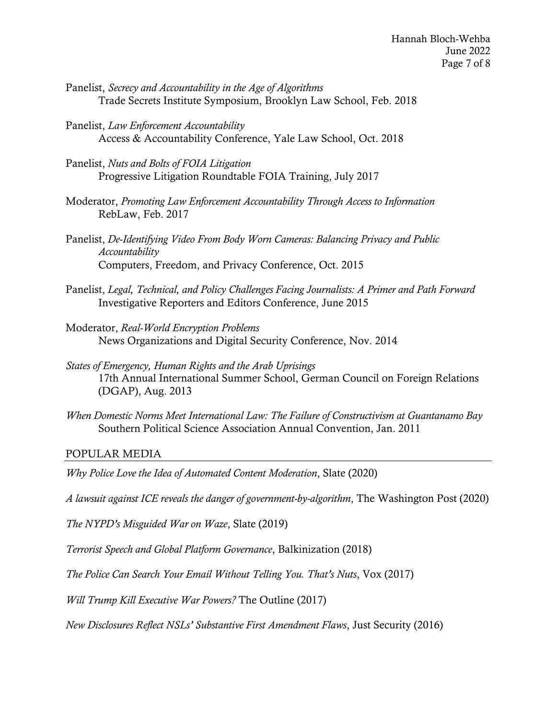- Panelist, *Secrecy and Accountability in the Age of Algorithms* Trade Secrets Institute Symposium, Brooklyn Law School, Feb. 2018
- Panelist, *Law Enforcement Accountability* Access & Accountability Conference, Yale Law School, Oct. 2018
- Panelist, *Nuts and Bolts of FOIA Litigation* Progressive Litigation Roundtable FOIA Training, July 2017
- Moderator, *Promoting Law Enforcement Accountability Through Access to Information* RebLaw, Feb. 2017
- Panelist, *De-Identifying Video From Body Worn Cameras: Balancing Privacy and Public Accountability* Computers, Freedom, and Privacy Conference, Oct. 2015
- Panelist, *Legal, Technical, and Policy Challenges Facing Journalists: A Primer and Path Forward* Investigative Reporters and Editors Conference, June 2015
- Moderator, *Real-World Encryption Problems* News Organizations and Digital Security Conference, Nov. 2014
- *States of Emergency, Human Rights and the Arab Uprisings* 17th Annual International Summer School, German Council on Foreign Relations (DGAP), Aug. 2013
- *When Domestic Norms Meet International Law: The Failure of Constructivism at Guantanamo Bay* Southern Political Science Association Annual Convention, Jan. 2011

#### POPULAR MEDIA

*Why Police Love the Idea of Automated Content Moderation*, Slate (2020)

*A lawsuit against ICE reveals the danger of government-by-algorithm*, The Washington Post (2020)

*The NYPD's Misguided War on Waze*, Slate (2019)

*Terrorist Speech and Global Platform Governance*, Balkinization (2018)

*The Police Can Search Your Email Without Telling You. That's Nuts*, Vox (2017)

*Will Trump Kill Executive War Powers?* The Outline (2017)

*New Disclosures Reflect NSLs' Substantive First Amendment Flaws*, Just Security (2016)